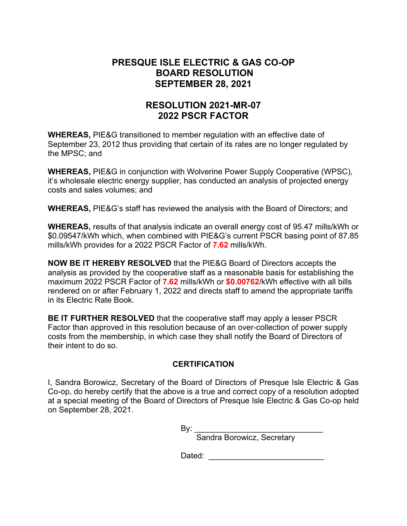# **PRESQUE ISLE ELECTRIC & GAS CO-OP BOARD RESOLUTION SEPTEMBER 28, 2021**

# **RESOLUTION 2021-MR-07 2022 PSCR FACTOR**

**WHEREAS,** PIE&G transitioned to member regulation with an effective date of September 23, 2012 thus providing that certain of its rates are no longer regulated by the MPSC; and

**WHEREAS,** PIE&G in conjunction with Wolverine Power Supply Cooperative (WPSC), it's wholesale electric energy supplier, has conducted an analysis of projected energy costs and sales volumes; and

**WHEREAS,** PIE&G's staff has reviewed the analysis with the Board of Directors; and

**WHEREAS,** results of that analysis indicate an overall energy cost of 95.47 mills/kWh or \$0.09547/kWh which, when combined with PIE&G's current PSCR basing point of 87.85 mills/kWh provides for a 2022 PSCR Factor of **7.62** mills/kWh.

**NOW BE IT HEREBY RESOLVED** that the PIE&G Board of Directors accepts the analysis as provided by the cooperative staff as a reasonable basis for establishing the maximum 2022 PSCR Factor of **7.62** mills/kWh or **\$0.00762**/kWh effective with all bills rendered on or after February 1, 2022 and directs staff to amend the appropriate tariffs in its Electric Rate Book.

**BE IT FURTHER RESOLVED** that the cooperative staff may apply a lesser PSCR Factor than approved in this resolution because of an over-collection of power supply costs from the membership, in which case they shall notify the Board of Directors of their intent to do so.

## **CERTIFICATION**

I, Sandra Borowicz, Secretary of the Board of Directors of Presque Isle Electric & Gas Co-op, do hereby certify that the above is a true and correct copy of a resolution adopted at a special meeting of the Board of Directors of Presque Isle Electric & Gas Co-op held on September 28, 2021.

 $\mathsf{By:}\qquad$ 

Sandra Borowicz, Secretary

Dated: \_\_\_\_\_\_\_\_\_\_\_\_\_\_\_\_\_\_\_\_\_\_\_\_\_\_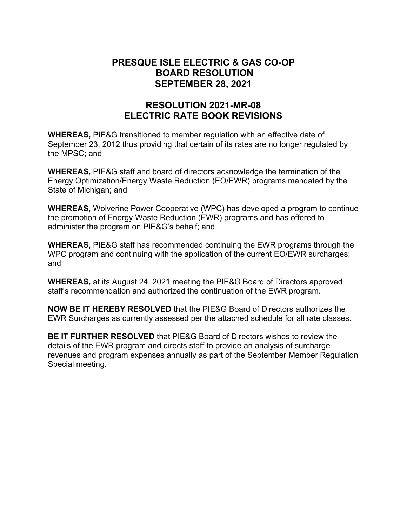## **PRESQUE ISLE ELECTRIC & GAS CO-OP BOARD RESOLUTION SEPTEMBER 28, 2021**

# **RESOLUTION 2021-MR-08 ELECTRIC RATE BOOK REVISIONS**

**WHEREAS,** PIE&G transitioned to member regulation with an effective date of September 23, 2012 thus providing that certain of its rates are no longer regulated by the MPSC; and

**WHEREAS,** PIE&G staff and board of directors acknowledge the termination of the Energy Optimization/Energy Waste Reduction (EO/EWR) programs mandated by the State of Michigan; and

**WHEREAS,** Wolverine Power Cooperative (WPC) has developed a program to continue the promotion of Energy Waste Reduction (EWR) programs and has offered to administer the program on PIE&G's behalf; and

**WHEREAS,** PIE&G staff has recommended continuing the EWR programs through the WPC program and continuing with the application of the current EO/EWR surcharges; and

**WHEREAS,** at its August 24, 2021 meeting the PIE&G Board of Directors approved staff's recommendation and authorized the continuation of the EWR program.

**NOW BE IT HEREBY RESOLVED** that the PIE&G Board of Directors authorizes the EWR Surcharges as currently assessed per the attached schedule for all rate classes.

**BE IT FURTHER RESOLVED** that PIE&G Board of Directors wishes to review the details of the EWR program and directs staff to provide an analysis of surcharge revenues and program expenses annually as part of the September Member Regulation Special meeting.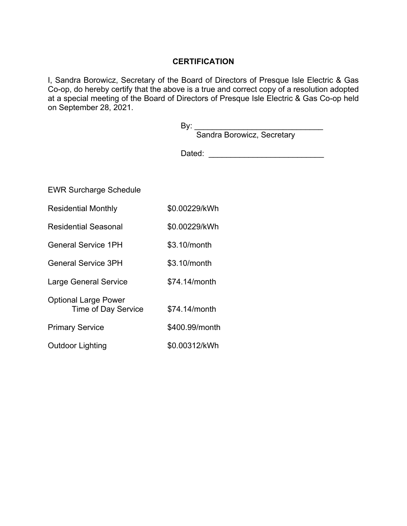## **CERTIFICATION**

I, Sandra Borowicz, Secretary of the Board of Directors of Presque Isle Electric & Gas Co-op, do hereby certify that the above is a true and correct copy of a resolution adopted at a special meeting of the Board of Directors of Presque Isle Electric & Gas Co-op held on September 28, 2021.

|                                                    | By: $_{-}$<br>Sandra Borowicz, Secretary |
|----------------------------------------------------|------------------------------------------|
|                                                    | Dated:                                   |
|                                                    |                                          |
| <b>EWR Surcharge Schedule</b>                      |                                          |
| <b>Residential Monthly</b>                         | \$0.00229/kWh                            |
| <b>Residential Seasonal</b>                        | \$0.00229/kWh                            |
| <b>General Service 1PH</b>                         | \$3.10/month                             |
| <b>General Service 3PH</b>                         | \$3.10/month                             |
| <b>Large General Service</b>                       | \$74.14/month                            |
| <b>Optional Large Power</b><br>Time of Day Service | \$74.14/month                            |
| <b>Primary Service</b>                             | \$400.99/month                           |
| <b>Outdoor Lighting</b>                            | \$0.00312/kWh                            |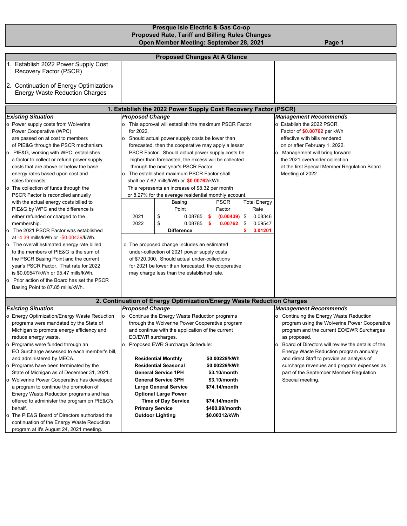### **Presque Isle Electric & Gas Co-op Proposed Rate, Tariff and Billing Rules Changes 1992 - Open Member Meeting: September 28, 2021 - Page 1**

|                                                                                                                                                                                                                                                                                                                                                                                                                                                                                                                                                                                                                                                                                                                                                                                                                                                                                                                                                     |                                                   | <b>Proposed Changes At A Glance</b>                                                                                                                                                                                                                                                                                                                                                                                                                                                                                                                                                                                                                                                                                                                                                                                                                            |                                                                                                                                     |                                                                                                                                                                                                                                                                                                                                        |                                                                                                                                                                                                                                                                                                                                                                                                                             |  |
|-----------------------------------------------------------------------------------------------------------------------------------------------------------------------------------------------------------------------------------------------------------------------------------------------------------------------------------------------------------------------------------------------------------------------------------------------------------------------------------------------------------------------------------------------------------------------------------------------------------------------------------------------------------------------------------------------------------------------------------------------------------------------------------------------------------------------------------------------------------------------------------------------------------------------------------------------------|---------------------------------------------------|----------------------------------------------------------------------------------------------------------------------------------------------------------------------------------------------------------------------------------------------------------------------------------------------------------------------------------------------------------------------------------------------------------------------------------------------------------------------------------------------------------------------------------------------------------------------------------------------------------------------------------------------------------------------------------------------------------------------------------------------------------------------------------------------------------------------------------------------------------------|-------------------------------------------------------------------------------------------------------------------------------------|----------------------------------------------------------------------------------------------------------------------------------------------------------------------------------------------------------------------------------------------------------------------------------------------------------------------------------------|-----------------------------------------------------------------------------------------------------------------------------------------------------------------------------------------------------------------------------------------------------------------------------------------------------------------------------------------------------------------------------------------------------------------------------|--|
| 1. Establish 2022 Power Supply Cost<br>Recovery Factor (PSCR)                                                                                                                                                                                                                                                                                                                                                                                                                                                                                                                                                                                                                                                                                                                                                                                                                                                                                       |                                                   |                                                                                                                                                                                                                                                                                                                                                                                                                                                                                                                                                                                                                                                                                                                                                                                                                                                                |                                                                                                                                     |                                                                                                                                                                                                                                                                                                                                        |                                                                                                                                                                                                                                                                                                                                                                                                                             |  |
| 2. Continuation of Energy Optimization/<br><b>Energy Waste Reduction Charges</b>                                                                                                                                                                                                                                                                                                                                                                                                                                                                                                                                                                                                                                                                                                                                                                                                                                                                    |                                                   |                                                                                                                                                                                                                                                                                                                                                                                                                                                                                                                                                                                                                                                                                                                                                                                                                                                                |                                                                                                                                     |                                                                                                                                                                                                                                                                                                                                        |                                                                                                                                                                                                                                                                                                                                                                                                                             |  |
|                                                                                                                                                                                                                                                                                                                                                                                                                                                                                                                                                                                                                                                                                                                                                                                                                                                                                                                                                     |                                                   | 1. Establish the 2022 Power Supply Cost Recovery Factor (PSCR)                                                                                                                                                                                                                                                                                                                                                                                                                                                                                                                                                                                                                                                                                                                                                                                                 |                                                                                                                                     |                                                                                                                                                                                                                                                                                                                                        |                                                                                                                                                                                                                                                                                                                                                                                                                             |  |
| <b>Existing Situation</b>                                                                                                                                                                                                                                                                                                                                                                                                                                                                                                                                                                                                                                                                                                                                                                                                                                                                                                                           | <b>Proposed Change</b>                            |                                                                                                                                                                                                                                                                                                                                                                                                                                                                                                                                                                                                                                                                                                                                                                                                                                                                |                                                                                                                                     |                                                                                                                                                                                                                                                                                                                                        | <b>Management Recommends</b>                                                                                                                                                                                                                                                                                                                                                                                                |  |
| o Power supply costs from Wolverine<br>Power Cooperative (WPC)<br>are passed on at cost to members<br>of PIE&G through the PSCR mechanism.<br>o PIE&G, working with WPC, establishes<br>a factor to collect or refund power supply<br>costs that are above or below the base<br>energy rates based upon cost and<br>sales forecasts.<br>o The collection of funds through the<br>PSCR Factor is reconciled annually<br>with the actual energy costs billed to<br>PIE&G by WPC and the difference is<br>either refunded or charged to the<br>membership.<br>o The 2021 PSCR Factor was established<br>at -4.39 mills/kWh or -\$0.00439/kWh.<br>The overall estimated energy rate billed<br>o<br>to the members of PIE&G is the sum of<br>the PSCR Basing Point and the current<br>year's PSCR Factor. That rate for 2022<br>is \$0.09547/kWh or 95.47 mills/kWh.<br>o Prior action of the Board has set the PSCR<br>Basing Point to 87.85 mills/kWh. | for 2022.<br>$\circ$<br>$\circ$<br>2021<br>2022   | o This approval will establish the maximum PSCR Factor<br>Should actual power supply costs be lower than<br>forecasted, then the cooperative may apply a lesser<br>PSCR Factor. Should actual power supply costs be<br>higher than forecasted, the excess will be collected<br>through the next year's PSCR Factor.<br>The established maximum PSCR Factor shall<br>shall be 7.62 mills/kWh or <b>\$0.00762</b> /kWh.<br>This represents an increase of \$8.32 per month<br>or 8.27% for the average residential monthly account.<br>Basing<br>Point<br>\$<br>0.08785<br>\$<br>0.08785<br><b>Difference</b><br>o The proposed change includes an estimated<br>under-collection of 2021 power supply costs<br>of \$720,000. Should actual under-collections<br>for 2021 be lower than forecasted, the cooperative<br>may charge less than the established rate. | <b>PSCR</b><br>Factor<br>\$<br>(0.00439)<br>s<br>0.00762                                                                            | o Establish the 2022 PSCR<br>Factor of \$0.00762 per kWh<br>effective with bills rendered<br>on or after February 1, 2022.<br>Management will bring forward<br>o<br>the 2021 over/under collection<br>at the first Special Member Regulation Board<br>Meeting of 2022.<br><b>Total Energy</b><br>Rate<br>0.08346<br>0.09547<br>0.01201 |                                                                                                                                                                                                                                                                                                                                                                                                                             |  |
|                                                                                                                                                                                                                                                                                                                                                                                                                                                                                                                                                                                                                                                                                                                                                                                                                                                                                                                                                     |                                                   | 2. Continuation of Energy Optimization/Energy Waste Reduction Charges                                                                                                                                                                                                                                                                                                                                                                                                                                                                                                                                                                                                                                                                                                                                                                                          |                                                                                                                                     |                                                                                                                                                                                                                                                                                                                                        |                                                                                                                                                                                                                                                                                                                                                                                                                             |  |
| <b>Existing Situation</b>                                                                                                                                                                                                                                                                                                                                                                                                                                                                                                                                                                                                                                                                                                                                                                                                                                                                                                                           | <b>Proposed Change</b>                            |                                                                                                                                                                                                                                                                                                                                                                                                                                                                                                                                                                                                                                                                                                                                                                                                                                                                |                                                                                                                                     |                                                                                                                                                                                                                                                                                                                                        | <b>Management Recommends</b>                                                                                                                                                                                                                                                                                                                                                                                                |  |
| o Energy Optimization/Energy Waste Reduction<br>programs were mandated by the State of<br>Michigan to promote energy efficiency and<br>reduce energy waste.<br>o Programs were funded through an<br>EO Surcharge assessed to each member's bill,<br>and administered by MECA.<br>o Programs have been terminated by the<br>State of Michigan as of December 31, 2021.<br>o Wolverine Power Cooperative has developed<br>a program to continue the promotion of<br>Energy Waste Reduction programs and has<br>offered to administer the program on PIE&G's<br>behalf.<br>o The PIE&G Board of Directors authorized the<br>continuation of the Energy Waste Reduction<br>program at it's August 24, 2021 meeting.                                                                                                                                                                                                                                     | EO/EWR surcharges.<br>o<br><b>Primary Service</b> | o Continue the Energy Waste Reduction programs<br>through the Wolverine Power Cooperative program<br>and continue with the application of the current<br>Proposed EWR Surcharge Schedule:<br><b>Residential Monthly</b><br><b>Residential Seasonal</b><br><b>General Service 1PH</b><br><b>General Service 3PH</b><br><b>Large General Service</b><br><b>Optional Large Power</b><br><b>Time of Day Service</b><br><b>Outdoor Lighting</b>                                                                                                                                                                                                                                                                                                                                                                                                                     | \$0.00229/kWh<br>\$0.00229/kWh<br>\$3.10/month<br>\$3.10/month<br>\$74.14/month<br>\$74.14/month<br>\$400.99/month<br>\$0.00312/kWh |                                                                                                                                                                                                                                                                                                                                        | o Continuing the Energy Waste Reduction<br>program using the Wolverine Power Cooperative<br>program and the current EO/EWR Surcharges<br>as proposed.<br>Board of Directors will review the details of the<br>$\circ$<br>Energy Waste Reduction program annually<br>and direct Staff to provide an analysis of<br>surcharge revenues and program expenses as<br>part of the September Member Regulation<br>Special meeting. |  |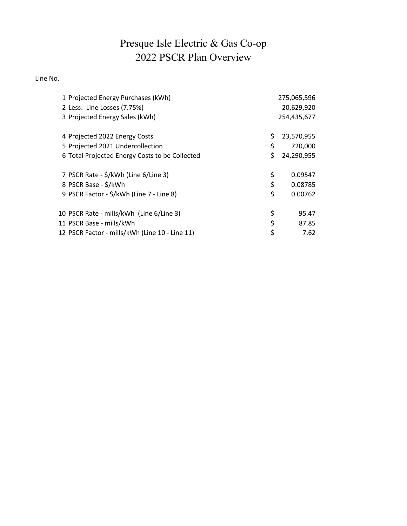# Presque Isle Electric & Gas Co-op 2022 PSCR Plan Overview

Line No.

| 1 Projected Energy Purchases (kWh)<br>2 Less: Line Losses (7.75%)<br>3 Projected Energy Sales (kWh) | 275,065,596<br>20,629,920<br>254,435,677 |
|-----------------------------------------------------------------------------------------------------|------------------------------------------|
|                                                                                                     |                                          |
| 4 Projected 2022 Energy Costs                                                                       | \$<br>23,570,955                         |
| 5 Projected 2021 Undercollection                                                                    | \$<br>720,000                            |
| 6 Total Projected Energy Costs to be Collected                                                      | \$<br>24,290,955                         |
| 7 PSCR Rate - \$/kWh (Line 6/Line 3)                                                                | \$<br>0.09547                            |
| 8 PSCR Base - \$/kWh                                                                                | \$<br>0.08785                            |
| 9 PSCR Factor - \$/kWh (Line 7 - Line 8)                                                            | \$<br>0.00762                            |
| 10 PSCR Rate - mills/kWh (Line 6/Line 3)                                                            | \$<br>95.47                              |
| 11 PSCR Base - mills/kWh                                                                            | \$<br>87.85                              |
| 12 PSCR Factor - mills/kWh (Line 10 - Line 11)                                                      | \$<br>7.62                               |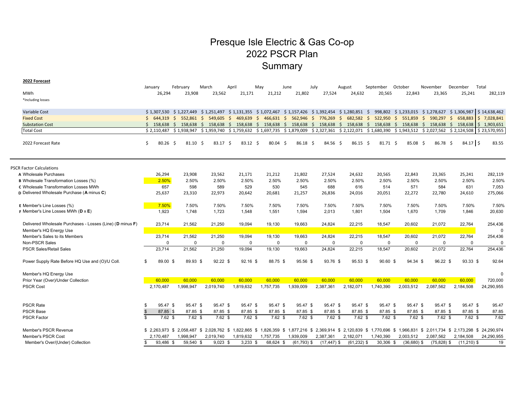# Presque Isle Electric & Gas Co-op 2022 PSCR Plan Summary

**2022 Forecast**

|                                                           | January                  | February                                  | March      | April                            | May       | June            | July                                                                                                                                | August         | September   | October       | November         | December      | Total                                                    |
|-----------------------------------------------------------|--------------------------|-------------------------------------------|------------|----------------------------------|-----------|-----------------|-------------------------------------------------------------------------------------------------------------------------------------|----------------|-------------|---------------|------------------|---------------|----------------------------------------------------------|
| <b>MWh</b>                                                | 26,294                   | 23,908                                    | 23,562     | 21,171                           | 21,212    | 21,802          | 27,524                                                                                                                              | 24,632         | 20,565      | 22,843        | 23,365           | 25,241        | 282,119                                                  |
| *Including losses                                         |                          |                                           |            |                                  |           |                 |                                                                                                                                     |                |             |               |                  |               |                                                          |
|                                                           |                          |                                           |            |                                  |           |                 |                                                                                                                                     |                |             |               |                  |               |                                                          |
| Variable Cost                                             |                          |                                           |            |                                  |           |                 | $$1,307,530$ $$1,227,449$ $$1,251,497$ $$1,131,355$ $$1,072,467$ $$1,157,426$ $$1,392,454$ $$1,280,851$ $$$                         |                |             |               |                  |               | 998,802 \$1,233,015 \$1,278,627 \$1,306,987 \$14,638,462 |
| <b>Fixed Cost</b>                                         | Ś.<br>644.319            | Ŝ.<br>552.861 \$                          |            | 549.605 \$ 469.639 \$ 466.631 \$ |           |                 | 562.946 \$ 776.269 \$                                                                                                               | 682.582 \$     | 522.950 \$  | 551.859       | S.<br>590.297 \$ | 658,883       | $\frac{1}{2}$ 7,028,841                                  |
| <b>Substation Cost</b>                                    | Ś.                       |                                           |            |                                  |           |                 | 158,638 \$ 158,638 \$ 158,638 \$ 158,638 \$ 158,638 \$ 158,638 \$ 158,638 \$ 158,638 \$ 158,638 \$ 158,638 \$ 158,638 \$ 158,638    |                |             |               |                  |               | $\frac{1}{2}$ 1,903,651                                  |
| <b>Total Cost</b>                                         | \$2.110.487              |                                           |            |                                  |           |                 | \$1,938,947 \$1,959,740 \$1,759,632 \$1,697,735 \$1,879,009 \$2,327,361 \$2,122,071 \$1,680,390 \$1,943,512 \$2,027,562 \$2,124,508 |                |             |               |                  |               | $\frac{1}{2}$ \$ 23,570,955                              |
| 2022 Forecast Rate                                        | Ś<br>$80.26$ \$          | $81.10 \pm 5$                             | 83.17 \$   | $83.12 \quad S$                  | 80.04     | 86.18 \$<br>- Ś | 84.56 \$                                                                                                                            | 86.15 \$       | 81.71 \$    | 85.08 \$      | 86.78 \$         | $84.17$ \$    | 83.55                                                    |
|                                                           |                          |                                           |            |                                  |           |                 |                                                                                                                                     |                |             |               |                  |               |                                                          |
| <b>PSCR Factor Calculations</b>                           |                          |                                           |            |                                  |           |                 |                                                                                                                                     |                |             |               |                  |               |                                                          |
| A Wholesale Purchases                                     | 26,294                   | 23,908                                    | 23,562     | 21,171                           | 21,212    | 21,802          | 27,524                                                                                                                              | 24,632         | 20,565      | 22,843        | 23,365           | 25,241        | 282,119                                                  |
| <b>B</b> Wholesale Transformation Losses (%)              | 2.50%                    | 2.50%                                     | 2.50%      | 2.50%                            | 2.50%     | 2.50%           | 2.50%                                                                                                                               | 2.50%          | 2.50%       | 2.50%         | 2.50%            | 2.50%         | 2.50%                                                    |
| C Wholesale Transformation Losses MWh                     | 657                      | 598                                       | 589        | 529                              | 530       | 545             | 688                                                                                                                                 | 616            | 514         | 571           | 584              | 631           | 7,053                                                    |
| D Delivered Wholesale Purchase (A minus C)                | 25,637                   | 23,310                                    | 22,973     | 20,642                           | 20,681    | 21,257          | 26,836                                                                                                                              | 24,016         | 20,051      | 22,272        | 22,780           | 24,610        | 275,066                                                  |
| E Member's Line Losses (%)                                | 7.50%                    | 7.50%                                     | 7.50%      | 7.50%                            | 7.50%     | 7.50%           | 7.50%                                                                                                                               | 7.50%          | 7.50%       | 7.50%         | 7.50%            | 7.50%         | 7.50%                                                    |
| <b>F</b> Member's Line Losses MWh ( $D \times E$ )        | 1,923                    | 1.748                                     | 1.723      | 1,548                            | 1.551     | 1,594           | 2,013                                                                                                                               | 1,801          | 1,504       | 1,670         | 1.709            | 1.846         | 20,630                                                   |
| Delivered Wholesale Purchases - Losses (Line) (D minus F) | 23,714                   | 21,562                                    | 21,250     | 19,094                           | 19,130    | 19,663          | 24,824                                                                                                                              | 22,215         | 18,547      | 20,602        | 21,072           | 22,764        | 254,436                                                  |
| Member's HQ Energy Use                                    |                          |                                           |            |                                  |           |                 |                                                                                                                                     |                |             |               |                  |               | $\Omega$                                                 |
| Member's Sales to its Members                             | 23,714                   | 21,562                                    | 21,250     | 19,094                           | 19,130    | 19,663          | 24,824                                                                                                                              | 22,215         | 18,547      | 20,602        | 21,072           | 22,764        | 254,436                                                  |
| Non-PSCR Sales                                            | $\Omega$                 | $\Omega$                                  | $\Omega$   | $\Omega$                         | $\Omega$  | $\Omega$        | $\mathbf 0$                                                                                                                         | $\Omega$       | $\Omega$    | $\Omega$      | $\Omega$         | $\Omega$      | $\Omega$                                                 |
| <b>PSCR Sales/Retail Sales</b>                            | 23,714                   | 21,562                                    | 21,250     | 19.094                           | 19.130    | 19.663          | 24,824                                                                                                                              | 22,215         | 18,547      | 20,602        | 21,072           | 22.764        | 254,436                                                  |
| Power Supply Rate Before HQ Use and (O)/U Coll.           | 89.00 \$<br>\$           | 89.93 \$                                  | $92.22$ \$ | $92.16$ \$                       | 88.75 \$  | 95.56 \$        | 93.76 \$                                                                                                                            | 95.53 \$       | $90.60$ \$  | 94.34 \$      | 96.22 \$         | $93.33$ \$    | 92.64                                                    |
|                                                           |                          |                                           |            |                                  |           |                 |                                                                                                                                     |                |             |               |                  |               |                                                          |
| Member's HQ Energy Use                                    |                          |                                           |            |                                  |           |                 |                                                                                                                                     |                |             |               |                  |               | $\Omega$                                                 |
| Prior Year (Over)/Under Collection                        | 60,000                   | 60,000                                    | 60,000     | 60,000                           | 60,000    | 60,000          | 60,000                                                                                                                              | 60,000         | 60,000      | 60,000        | 60,000           | 60,000        | 720,000                                                  |
| <b>PSCR Cost</b>                                          | 2,170,487                | 1,998,947                                 | 2,019,740  | 1,819,632                        | 1,757,735 | 1,939,009       | 2,387,361                                                                                                                           | 2,182,071      | 1,740,390   | 2,003,512     | 2,087,562        | 2,184,508     | 24,290,955                                               |
| <b>PSCR Rate</b>                                          | 95.47 \$<br>\$.          | 95.47 \$                                  | 95.47 \$   | 95.47 \$                         | 95.47 \$  | 95.47 \$        | 95.47 \$                                                                                                                            | 95.47 \$       | 95.47 \$    | 95.47 \$      | 95.47 \$         | 95.47 \$      | 95.47                                                    |
| <b>PSCR Base</b>                                          | $\mathbb{S}$<br>87.85 \$ | 87.85 \$                                  | 87.85 \$   | 87.85 \$                         | 87.85 \$  | 87.85 \$        | 87.85 \$                                                                                                                            | 87.85 \$       | 87.85 \$    | 87.85 \$      | 87.85 \$         | 87.85 \$      | 87.85                                                    |
| <b>PSCR Factor</b>                                        | $7.62$ \$<br>\$          | $7.62$ \$                                 | $7.62$ \$  | $7.62$ \$                        | $7.62$ \$ | $7.62$ \$       | $7.62$ \$                                                                                                                           | $7.62$ \$      | $7.62$ \$   | $7.62$ \$     | $7.62$ \$        | $7.62$ \$     | 7.62                                                     |
|                                                           |                          |                                           |            |                                  |           |                 |                                                                                                                                     |                |             |               |                  |               |                                                          |
| Member's PSCR Revenue                                     |                          | \$ 2,263,973 \$ 2,058,487 \$ 2,028,762 \$ |            |                                  |           |                 | 1,822,865 \$ 1,826,359 \$ 1,877,216 \$ 2,369,914 \$ 2,120,839 \$ 1,770,696 \$ 1,966,831 \$ 2,011,734 \$ 2,173,298 \$ 24,290,974     |                |             |               |                  |               |                                                          |
| Member's PSCR Cost                                        | 2,170,487                | 1,998,947                                 | 2,019,740  | 1,819,632                        | 1,757,735 | 1,939,009       | 2,387,361                                                                                                                           | 2,182,071      | 1,740,390   | 2,003,512     | 2,087,562        | 2,184,508     | 24,290,955                                               |
| Member's Over/(Under) Collection                          | 93.486 \$<br>\$          | 59.540 \$                                 | $9.023$ \$ | $3.233$ \$                       | 68.624 \$ | $(61,793)$ \$   | $(17, 447)$ \$                                                                                                                      | $(61, 232)$ \$ | $30,306$ \$ | $(36,680)$ \$ | $(75, 828)$ \$   | $(11.210)$ \$ | 19                                                       |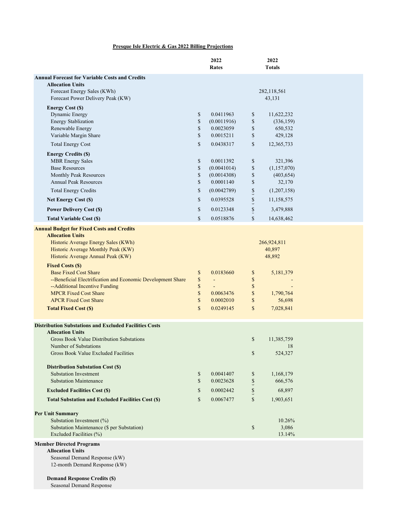### **Presque Isle Electric & Gas 2022 Billing Projections**

|                                   |                                                      |                                                | 43,131                                                                                                     |                                                                     |
|-----------------------------------|------------------------------------------------------|------------------------------------------------|------------------------------------------------------------------------------------------------------------|---------------------------------------------------------------------|
| \$<br>\$<br>\$                    | 0.0411963<br>(0.0011916)<br>0.0023059                | \$<br>\$<br>\$                                 | 11,622,232<br>(336, 159)<br>650,532                                                                        |                                                                     |
| \$                                | 0.0015211                                            | $\frac{1}{2}$                                  | 429,128                                                                                                    |                                                                     |
| \$<br>$\mathbb S$<br>\$<br>\$     | 0.0011392<br>(0.0041014)<br>(0.0014308)<br>0.0001140 | \$<br>$\mathbb S$<br>\$<br>$\hat{\mathcal{E}}$ | 321,396<br>(1,157,070)<br>(403, 654)<br>32,170                                                             |                                                                     |
| \$                                | (0.0042789)                                          |                                                | (1,207,158)                                                                                                |                                                                     |
|                                   |                                                      |                                                |                                                                                                            |                                                                     |
| $\mathbb{S}$                      | 0.0518876                                            | $\mathbb{S}$                                   | 14,638,462                                                                                                 |                                                                     |
| \$                                | 0.0183660                                            | \$                                             | 40,897<br>48,892<br>5,181,379                                                                              |                                                                     |
| \$<br>$\mathbb S$<br>$\mathbb{S}$ | 0.0063476<br>0.0002010                               | $\mathbb S$<br>$\mathbb S$<br>$\mathbb{S}$     | 1,790,764<br>56,698                                                                                        |                                                                     |
| $\mathbb{S}$                      | 0.0249145                                            | $\mathbb{S}$                                   | 7,028,841                                                                                                  |                                                                     |
|                                   |                                                      | \$<br>\$                                       | 11,385,759<br>18<br>524,327                                                                                |                                                                     |
| \$<br>\$                          | 0.0041407<br>0.0023628                               | \$                                             | 1,168,179<br>666,576                                                                                       |                                                                     |
| \$                                | 0.0002442                                            | $\frac{1}{2}$                                  | 68,897                                                                                                     |                                                                     |
| \$                                | 0.0067477                                            |                                                | 1,903,651                                                                                                  |                                                                     |
|                                   |                                                      | \$                                             | 10.26%<br>3,086<br>13.14%                                                                                  |                                                                     |
|                                   |                                                      |                                                |                                                                                                            |                                                                     |
|                                   | $\mathbb{S}$<br>\$<br>\$<br>$\mathbb S$              | 0.0438317<br>0.0395528<br>0.0123348            | $\mathbb{S}$<br>$\frac{1}{2}$<br>$\frac{1}{2}$<br>$\hat{\mathbf{z}}$<br>$\mathbb S$<br>$\frac{1}{2}$<br>\$ | 282,118,561<br>12,365,733<br>11,158,575<br>3,479,888<br>266,924,811 |

Seasonal Demand Response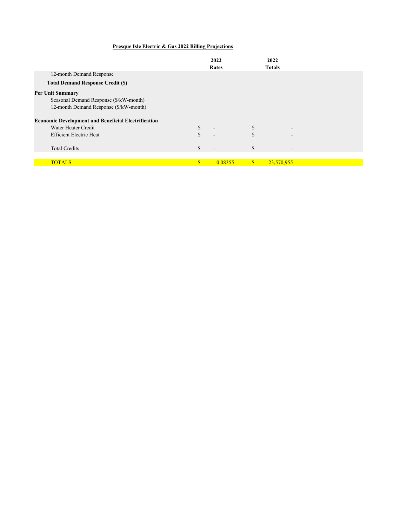## **Presque Isle Electric & Gas 2022 Billing Projections**

|                                                            |              | 2022                     |               | 2022                     |  |
|------------------------------------------------------------|--------------|--------------------------|---------------|--------------------------|--|
|                                                            |              | Rates                    |               | <b>Totals</b>            |  |
| 12-month Demand Response                                   |              |                          |               |                          |  |
| <b>Total Demand Response Credit (\$)</b>                   |              |                          |               |                          |  |
| <b>Per Unit Summary</b>                                    |              |                          |               |                          |  |
| Seasonal Demand Response (\$/kW-month)                     |              |                          |               |                          |  |
| 12-month Demand Response (\$/kW-month)                     |              |                          |               |                          |  |
| <b>Economic Development and Beneficial Electrification</b> |              |                          |               |                          |  |
| Water Heater Credit                                        | \$           | $\overline{\phantom{a}}$ | \$            | $\overline{\phantom{a}}$ |  |
| <b>Efficient Electric Heat</b>                             | \$.          |                          | <sup>\$</sup> | $\overline{\phantom{a}}$ |  |
|                                                            |              |                          |               |                          |  |
| <b>Total Credits</b>                                       | S            | $\overline{\phantom{a}}$ | S             | $\overline{\phantom{a}}$ |  |
|                                                            |              |                          |               |                          |  |
| <b>TOTALS</b>                                              | $\mathbf{s}$ | 0.08355                  | $\mathbb{S}$  | 23,570,955               |  |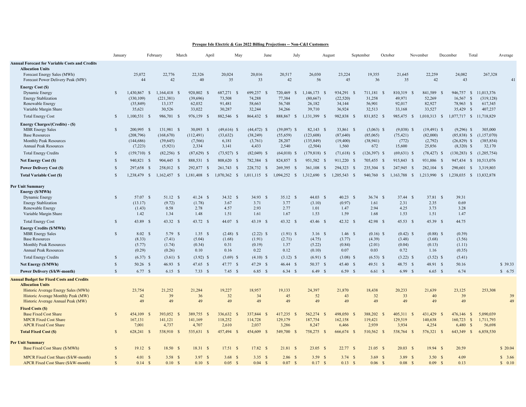#### **Presque Isle Electric & Gas 2022 Billing Projections -- Non-C&I Customers**

|                                                                                                                                                                                                                                                                       | January                                                                      |                                                                                        | February                                                                                   | March                                                                                 | May<br>April                                                                           | June                                                                                          | July                                                                                 |                                                                                               | August                                                                               | September                                                                                   | October                                                                                | November                                                                                | December<br>Total                                                                   |                                                | Average            |
|-----------------------------------------------------------------------------------------------------------------------------------------------------------------------------------------------------------------------------------------------------------------------|------------------------------------------------------------------------------|----------------------------------------------------------------------------------------|--------------------------------------------------------------------------------------------|---------------------------------------------------------------------------------------|----------------------------------------------------------------------------------------|-----------------------------------------------------------------------------------------------|--------------------------------------------------------------------------------------|-----------------------------------------------------------------------------------------------|--------------------------------------------------------------------------------------|---------------------------------------------------------------------------------------------|----------------------------------------------------------------------------------------|-----------------------------------------------------------------------------------------|-------------------------------------------------------------------------------------|------------------------------------------------|--------------------|
| <b>Annual Forecast for Variable Costs and Credits</b><br><b>Allocation Units</b><br>Forecast Energy Sales (MWh)<br>Forecast Power Delivery Peak (MW)                                                                                                                  |                                                                              | 25,072<br>44                                                                           | 22,776<br>42                                                                               | 22,326<br>40                                                                          | 20,024<br>35                                                                           | 20,016<br>33                                                                                  | 20,517<br>42                                                                         | 26,030<br>56                                                                                  | 23,224<br>45                                                                         | 19,355<br>36                                                                                | 21,645<br>35                                                                           | 22,259<br>42                                                                            | 24,082<br>43                                                                        | 267,328                                        | 41                 |
| <b>Energy Cost (\$)</b><br>Dynamic Energy<br>Energy Stablization<br>Renewable Energy<br>Variable Margin Share                                                                                                                                                         | <sup>\$</sup>                                                                | 1,430,867 \$<br>(330, 109)<br>(35, 849)<br>35,621                                      | 1,164,418 \$<br>(221, 381)<br>13,137<br>30,526                                             | 920,802 \$<br>(39,696)<br>62,032<br>33,022                                            | 687,271 \$<br>73,508<br>91,481<br>30,287                                               | 699,237 \$<br>74,288<br>58,663<br>32,244                                                      | 720,469<br>- 8<br>77,384<br>56,748<br>34,266                                         | 1,146,173<br>- \$<br>(80,667)<br>26,182<br>39,710                                             | 934,291 \$<br>(22, 520)<br>34,144<br>36,924                                          | 711,181 \$<br>31,258<br>56,901<br>32,513                                                    | 810,319<br><sup>S</sup><br>49,971<br>92,017<br>33,168                                  | 841,589 \$<br>52,269<br>82,927<br>33,527                                                | 946,757 \$<br>16,567<br>$\mathcal{S}$<br>78,963<br>$\mathcal{S}$<br>35,429<br>- \$  | 11,013,376<br>(319, 128)<br>617,345<br>407,237 |                    |
| <b>Total Energy Cost</b>                                                                                                                                                                                                                                              | $\mathcal{S}$                                                                | $1,100,531$ \$                                                                         | 986,701 \$                                                                                 | 976,159 \$                                                                            | 882,546 \$                                                                             | 864,432 \$                                                                                    | 888,867 \$                                                                           | 1,131,399 \$                                                                                  | 982,838 \$                                                                           | 831,852 \$                                                                                  | 985,475 \$                                                                             | $1,010,313$ \$                                                                          | 1,077,717 \$ 11,718,829                                                             |                                                |                    |
| Energy Charges/(Credits) - (\$)<br><b>MBR</b> Energy Sales<br><b>Base Resources</b><br>Monthly Peak Resources<br><b>Annual Peak Resources</b>                                                                                                                         | <sup>\$</sup>                                                                | 200,995 \$<br>(208, 796)<br>(144, 686)<br>(7,223)                                      | 131,981 \$<br>(168, 670)<br>(39, 645)<br>(5,921)                                           | 30,093 \$<br>(112, 491)<br>(7,566)<br>2,334                                           | $(49,616)$ \$<br>(33, 632)<br>6,181<br>3,141                                           | $(44, 472)$ \$<br>(38, 249)<br>(3,761)<br>4,433                                               | $(39,097)$ \$<br>(55,659)<br>28,207<br>2,540                                         | $82,143$ \$<br>(123, 608)<br>(135, 849)<br>(2,504)                                            | 33,861 \$<br>(87, 640)<br>(19, 400)<br>1,560                                         | $(3,063)$ \$<br>(85,065)<br>(38, 941)<br>672                                                | $(9,038)$ \$<br>(75, 421)<br>(772)<br>15,600                                           | $(19,491)$ \$<br>(82,000)<br>(2,792)<br>25,856                                          | $(9,296)$ \$<br>$(85,838)$ \$<br>$(26,829)$ \$<br>$(8,320)$ \$                      | 305,000<br>(1,157,070)<br>(385, 854)<br>32,170 |                    |
| <b>Total Energy Credits</b>                                                                                                                                                                                                                                           | $\mathcal{S}$                                                                | $(159,710)$ \$                                                                         | $(82,256)$ \$                                                                              | $(87,629)$ \$                                                                         | $(73,927)$ \$                                                                          | $(82,049)$ \$                                                                                 | $(64,010)$ \$                                                                        | $(179, 818)$ \$                                                                               | $(71,618)$ \$                                                                        | $(126,397)$ \$                                                                              | $(69, 631)$ \$                                                                         | $(78, 427)$ \$                                                                          | $(130, 283)$ \$                                                                     | (1,205,754)                                    |                    |
| Net Energy Cost (\$)                                                                                                                                                                                                                                                  | <sup>\$</sup>                                                                | 940,821 \$                                                                             | 904,445 \$                                                                                 | 888,531 \$                                                                            | 808,620 \$                                                                             | 782,384 \$                                                                                    | 824,857 \$                                                                           | 951,582 \$                                                                                    | 911,220 \$                                                                           | 705,455 \$                                                                                  | 915,843 \$                                                                             | 931,886 \$                                                                              | 947,434 \$                                                                          | 10,513,076                                     |                    |
| <b>Power Delivery Cost (\$)</b>                                                                                                                                                                                                                                       | $\mathcal{S}$                                                                | 297,658 \$                                                                             | 258,012 \$                                                                                 | 292,877 \$                                                                            | 261,743 \$                                                                             | 228,732<br>$\mathbf{s}$                                                                       | 269,395<br>- S                                                                       | 361,108<br>-S                                                                                 | 294,323 \$                                                                           | 235,304 \$                                                                                  | 247,945 \$                                                                             | 282,104 \$                                                                              | 290,601<br>$\mathbf{s}$                                                             | 3,319,803                                      |                    |
| <b>Total Variable Cost (\$)</b>                                                                                                                                                                                                                                       | $\mathcal{S}$                                                                | 1,238,479 \$                                                                           |                                                                                            | 1,162,457 \$ 1,181,408 \$                                                             | $1,070,362$ \$                                                                         | $1,011,115$ \$                                                                                | 1,094,252 \$                                                                         | 1,312,690 \$                                                                                  | 1,205,543 \$                                                                         | 940,760 \$                                                                                  | 1,163,788 \$                                                                           | 1,213,990 \$                                                                            | 1,238,035 \$ 13,832,878                                                             |                                                |                    |
| <b>Per Unit Summary</b><br>Energy (\$/MWh)<br>Dynamic Energy<br>Energy Stablization<br>Renewable Energy<br>Variable Margin Share                                                                                                                                      | <sup>\$</sup>                                                                | 57.07 \$<br>(13.17)<br>(1.43)<br>1.42                                                  | 51.12 \$<br>(9.72)<br>0.58<br>1.34                                                         | $41.24$ \$<br>(1.78)<br>2.78<br>1.48                                                  | 34.32 \$<br>3.67<br>4.57<br>1.51                                                       | $34.93$ \$<br>3.71<br>2.93<br>1.61                                                            | 35.12 S<br>3.77<br>2.77<br>1.67                                                      | 44.03 \$<br>(3.10)<br>1.01<br>1.53                                                            | $40.23$ \$<br>(0.97)<br>1.47<br>1.59                                                 | $36.74$ \$<br>1.61<br>2.94<br>1.68                                                          | 37.44 \$<br>2.31<br>4.25<br>1.53                                                       | 37.81 \$<br>2.35<br>3.73<br>1.51                                                        | 39.31<br>0.69<br>3.28<br>1.47                                                       |                                                |                    |
| <b>Total Energy Cost</b><br><b>Energy Credits (\$/MWh)</b><br><b>MBR</b> Energy Sales<br><b>Base Resources</b><br>Monthly Peak Resources<br><b>Annual Peak Resources</b><br><b>Total Energy Credits</b><br>Net Energy (\$/MWh)<br><b>Power Delivery (\$/kW-month)</b> | $\mathcal{S}$<br>$\mathcal{S}$<br><b>S</b><br>$\mathcal{S}$<br>$\mathcal{S}$ | 43.89 \$<br>8.02 S<br>(8.33)<br>(5.77)<br>(0.29)<br>$(6.37)$ \$<br>50.26 \$<br>6.77 \$ | 43.32 S<br>$5.79$ \$<br>(7.41)<br>(1.74)<br>(0.26)<br>$(3.61)$ \$<br>46.93 \$<br>$6.15$ \$ | 43.72 \$<br>$1.35$ \$<br>(5.04)<br>(0.34)<br>0.10<br>$(3.92)$ \$<br>47.65 \$<br>7.33S | 44.07 \$<br>$(2.48)$ \$<br>(1.68)<br>0.31<br>0.16<br>$(3.69)$ \$<br>47.77 \$<br>7.45 S | $43.19$ \$<br>$(2.22)$ \$<br>(1.91)<br>(0.19)<br>0.22<br>$(4.10)$ \$<br>47.29 \$<br>$6.85$ \$ | 43.32 S<br>$(1.91)$ \$<br>(2.71)<br>1.37<br>0.12<br>$(3.12)$ \$<br>46.44 S<br>6.34 S | $43.46$ \$<br>$3.16$ \$<br>(4.75)<br>(5.22)<br>(0.10)<br>$(6.91)$ \$<br>50.37 \$<br>$6.49$ \$ | 42.32 S<br>$1.46$ \$<br>(3.77)<br>(0.84)<br>0.07<br>$(3.08)$ \$<br>45.40 \$<br>6.59S | 42.98 \$<br>$(0.16)$ \$<br>(4.39)<br>(2.01)<br>0.03<br>$(6.53)$ \$<br>49.51 \$<br>$6.61$ \$ | 45.53 S<br>$(0.42)$ \$<br>(3.48)<br>(0.04)<br>0.72<br>$(3.22)$ \$<br>48.75 \$<br>6.99S | 45.39 \$<br>$(0.88)$ \$<br>(3.68)<br>(0.13)<br>1.16<br>$(3.52)$ \$<br>48.91 \$<br>6.65S | 44.75<br>(0.39)<br>(3.56)<br>(1.11)<br>(0.35)<br>(5.41)<br>50.16<br>6.74            |                                                | \$ 39.33<br>\$6.75 |
| <b>Annual Budget for Fixed Costs and Credits</b><br><b>Allocation Units</b><br>Historic Average Energy Sales (MWh)<br>Historic Average Monthly Peak (MW)<br>Historic Average Annual Peak (MW)                                                                         |                                                                              | 23,754<br>42<br>49                                                                     | 21,252<br>39<br>49                                                                         | 21.284<br>36<br>49                                                                    | 19,227<br>32<br>49                                                                     | 18.957<br>34<br>49                                                                            | 19.133<br>45<br>49                                                                   | 24.397<br>52<br>49                                                                            | 21,870<br>43<br>49                                                                   | 18,438<br>32<br>49                                                                          | 20.233<br>33<br>49                                                                     | 21.639<br>40<br>49                                                                      | 23,125<br>39<br>49                                                                  | 253,308                                        | 39<br>49           |
| <b>Fixed Costs (\$)</b><br><b>Base Fixed Cost Share</b><br><b>MPCR Fixed Cost Share</b><br><b>APCR Fixed Cost Share</b><br><b>Total Fixed Cost (\$)</b>                                                                                                               | $\mathcal{S}$                                                                | 454,109<br>$\mathcal{S}$<br>167,131<br>7,001<br>628,241 \$                             | 393,052<br>141,121<br>4,737<br>538,910                                                     | 389,755<br>-S<br>- \$<br>141,169<br>4,707<br>535,631 \$<br>-S                         | 336,632<br>$\mathcal{S}$<br>118,252<br>2,610<br>457,494 \$                             | 337,844<br><b>S</b><br>114,728<br>2,037<br>454,609 \$                                         | 417,235 \$<br>129,179<br>3,286<br>549,700 \$                                         | 562,274<br>-8<br>187,754<br>8,247<br>758,275<br>- \$                                          | 498,050<br>- S<br>162,158<br>6,466<br>666,674 \$                                     | 388,202 \$<br>119,421<br>2,939<br>510,562 \$                                                | 405,311<br>-S<br>129,519<br>3,934<br>538,764<br>-S                                     | 431,429 \$<br>140,638<br>4,254<br>576,321 \$                                            | 476,146<br>-S<br>$\mathbf{s}$<br>160,723<br>6,480<br>$\mathcal{S}$<br>643,349<br>S. | 5,090,039<br>1,711,793<br>56,698<br>6,858,530  |                    |
| <b>Per Unit Summary</b><br>Base Fixed Cost Share (\$/MWh)                                                                                                                                                                                                             | $\mathcal{S}$                                                                | $19.12 \quad$ \$                                                                       | 18.50 S                                                                                    | 18.31 S                                                                               | 17.51 S                                                                                | $17.82$ \$                                                                                    | 21.81 S                                                                              | $23.05$ \$                                                                                    | 22.77 S                                                                              | $21.05$ \$                                                                                  | 20.03 S                                                                                | 19.94 S                                                                                 | 20.59                                                                               |                                                | \$20.04            |
| MPCR Fixed Cost Share (\$/kW-month)<br>APCR Fixed Cost Share (\$/kW-month)                                                                                                                                                                                            | $\mathcal{S}$<br>$\mathcal{S}$                                               | 4.01 S<br>$0.14$ \$                                                                    | 3.58 S<br>0.10 S                                                                           | 3.97 S<br>0.10 S                                                                      | 3.68 S<br>0.05 S                                                                       | 3.35 S<br>$0.04 \quad$ \$                                                                     | $2.86$ \$<br>0.07 S                                                                  | 3.59S<br>0.17S                                                                                | 3.74 S<br>$0.13 \quad S$                                                             | $3.69$ \$<br>$0.06 \quad$ \$                                                                | 3.89 S<br>0.08 S                                                                       | 3.50 S<br>0.09 S                                                                        | 4.09<br>0.13                                                                        |                                                | \$3.66<br>\$ 0.10  |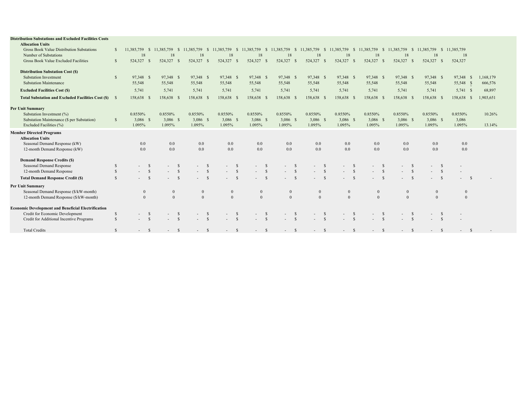| <b>Distribution Substations and Excluded Facilities Costs</b><br><b>Allocation Units</b> |               |                        |               |                                  |              |              |              |               |                                          |                                          |                  |               |                        |              |                    |                            |                          |               |              |           |  |
|------------------------------------------------------------------------------------------|---------------|------------------------|---------------|----------------------------------|--------------|--------------|--------------|---------------|------------------------------------------|------------------------------------------|------------------|---------------|------------------------|--------------|--------------------|----------------------------|--------------------------|---------------|--------------|-----------|--|
| Gross Book Value Distribution Substations                                                |               | 11.385.759             | -S            | 11.385.759<br>-S                 | 11.385.759   | S.           | 11.385.759   | -S            | 11,385,759<br><sup>S</sup>               | 11,385,759<br><sup>S</sup>               | 11,385,759       | <sup>S</sup>  | 11,385,759<br>-S       | 11,385,759   | -S                 | 11.385.759<br><sup>S</sup> | 11,385,759               |               | \$11,385,759 |           |  |
| Number of Substations                                                                    |               | 18                     |               | 18                               | 18           |              | 18           |               | 18                                       | 18                                       | 18               |               | 18                     | 18           |                    | 18                         | 18                       |               | 18           |           |  |
| Gross Book Value Excluded Facilities                                                     | $\mathcal{S}$ | 524,327                |               | 524,327<br>- S                   | 524,327      | -8           | 524,327      | -S            | 524,327<br>- \$                          | 524,327<br>- \$                          | 524,327          |               | 524,327<br>- \$        | 524,327      | - \$               | 524,327<br>-S              | 524,327 \$               |               | 524,327      |           |  |
|                                                                                          |               |                        |               |                                  |              |              |              |               |                                          |                                          |                  |               |                        |              |                    |                            |                          |               |              |           |  |
| <b>Distribution Substation Cost (\$)</b>                                                 |               |                        |               |                                  |              |              |              |               |                                          |                                          |                  |               |                        |              |                    |                            |                          |               |              |           |  |
| <b>Substation Investment</b>                                                             | <sup>S</sup>  | 97,348 \$              |               | 97,348 \$                        | 97,348 \$    |              | 97,348 \$    |               | 97,348 \$                                | 97,348 \$                                | 97,348 \$        |               | 97,348 \$              | 97,348 \$    |                    | 97,348 \$                  | 97,348 \$                |               | 97,348 \$    | 1.168.179 |  |
| <b>Substation Maintenance</b>                                                            |               | 55,548                 |               | 55,548                           | 55,548       |              | 55,548       |               | 55,548                                   | 55,548                                   | 55,548           |               | 55,548                 | 55,548       |                    | 55,548                     | 55,548                   |               | 55,548 \$    | 666,576   |  |
| <b>Excluded Facilities Cost (\$)</b>                                                     |               | 5,741                  |               | 5,741                            | 5,741        |              | 5,741        |               | 5,741                                    | 5,741                                    | 5,741            |               | 5,741                  | 5,741        |                    | 5.741                      | 5,741                    |               | $5,741$ \$   | 68,897    |  |
| Total Substation and Excluded Facilities Cost (\$) \$                                    |               | 158,638 \$             |               | 158,638 \$                       | 158,638 \$   |              | 158,638 \$   |               | 158,638 \$                               | 158,638 \$                               | 158,638 \$       |               | 158,638 \$             | 158,638 \$   |                    | 158,638 \$                 | 158,638 \$               |               | 158,638 \$   | 1,903,651 |  |
| <b>Per Unit Summary</b>                                                                  |               |                        |               |                                  |              |              |              |               |                                          |                                          |                  |               |                        |              |                    |                            |                          |               |              |           |  |
| Substation Investment (%)                                                                |               | 0.8550%                |               | 0.8550%                          | 0.8550%      |              | 0.8550%      |               | 0.8550%                                  | 0.8550%                                  | 0.8550%          |               | 0.8550%                | 0.8550%      |                    | 0.8550%                    | 0.8550%                  |               | 0.8550%      | 10.26%    |  |
| Substation Maintenance (\$ per Substation)                                               | <sup>S</sup>  | 3,086 \$               |               | 3,086 \$                         | $3,086$ \$   |              | $3,086$ \$   |               | $3,086$ \$                               | 3,086 \$                                 | $3,086$ \$       |               | 3,086 \$               | $3,086$ \$   |                    | $3,086$ \$                 | 3,086 \$                 |               | 3,086        |           |  |
| Excluded Facilities (%)                                                                  |               | 1.095%                 |               | 1.095%                           | 1.095%       |              | 1.095%       |               | 1.095%                                   | 1.095%                                   | 1.095%           |               | 1.095%                 | 1.095%       |                    | 1.095%                     | 1.095%                   |               | 1.095%       | 13.14%    |  |
| <b>Member Directed Programs</b>                                                          |               |                        |               |                                  |              |              |              |               |                                          |                                          |                  |               |                        |              |                    |                            |                          |               |              |           |  |
| <b>Allocation Units</b>                                                                  |               |                        |               |                                  |              |              |              |               |                                          |                                          |                  |               |                        |              |                    |                            |                          |               |              |           |  |
| Seasonal Demand Response (kW)                                                            |               | 0.0                    |               | $0.0\,$                          | 0.0          |              | 0.0          |               | 0.0                                      | 0.0                                      | $0.0\,$          |               | 0.0                    | 0.0          |                    | 0.0                        | 0.0                      |               | 0.0          |           |  |
| 12-month Demand Response (kW)                                                            |               | 0.0                    |               | 0.0                              | 0.0          |              | 0.0          |               | 0.0                                      | 0.0                                      | 0.0              |               | 0.0                    | 0.0          |                    | 0.0                        | 0.0                      |               | 0.0          |           |  |
| <b>Demand Response Credits (\$)</b>                                                      |               |                        |               |                                  |              |              |              |               |                                          |                                          |                  |               |                        |              |                    |                            |                          |               |              |           |  |
| <b>Seasonal Demand Response</b>                                                          | S             | $\sim$                 | -S            | - S                              |              | -S           |              | -S            | $\mathbb{S}$<br>$\sim$                   | <sup>S</sup><br>$\overline{\phantom{a}}$ |                  | <sup>\$</sup> | -S                     |              | -S                 | <sup>\$</sup>              | $\sim$                   | -S            |              |           |  |
| 12-month Demand Response                                                                 | $\mathcal{S}$ |                        | $\mathcal{S}$ | $\mathbf{s}$                     |              | $\mathbf{s}$ |              | $\mathcal{S}$ | $\mathbf{s}$<br>$\overline{\phantom{a}}$ | $\mathbf{s}$                             |                  | $\mathbf{s}$  | $\mathbf{s}$           |              | $\mathcal{S}$      | $\mathcal{S}$              | ÷.                       | $\mathcal{S}$ |              |           |  |
| <b>Total Demand Response Credit (\$)</b>                                                 | $\mathcal{S}$ |                        |               | - S                              | ÷            | $\mathbf{s}$ | $\sim$       |               | $\mathbf{s}$<br>$\sim$                   | $- S$                                    |                  | $\mathbf{s}$  | $\mathbf{s}$<br>÷      |              | $\mathbf{\hat{s}}$ | $\mathcal{S}$              | ÷.                       | $\sim$        | -S           |           |  |
| <b>Per Unit Summary</b>                                                                  |               |                        |               |                                  |              |              |              |               |                                          |                                          |                  |               |                        |              |                    |                            |                          |               |              |           |  |
| Seasonal Demand Response (\$/kW-month)                                                   |               |                        |               | $\mathbf{0}$                     | $\mathbf{0}$ |              | $\mathbf{0}$ |               | $\mathbf{0}$                             | $\mathbf{0}$                             | $\boldsymbol{0}$ |               |                        | $\mathbf{0}$ |                    | $\mathbf{0}$               | $\bf{0}$                 |               | $\bf{0}$     |           |  |
| 12-month Demand Response (\$/kW-month)                                                   |               | $\Omega$               |               | $\theta$                         | $\Omega$     |              | $\Omega$     |               | $\theta$                                 | $\theta$                                 | $\theta$         |               |                        | $\Omega$     |                    | $\Omega$                   | $\mathbf{0}$             |               | $\mathbf{0}$ |           |  |
| <b>Economic Development and Beneficial Electrification</b>                               |               |                        |               |                                  |              |              |              |               |                                          |                                          |                  |               |                        |              |                    |                            |                          |               |              |           |  |
| Credit for Economic Development                                                          | <sup>\$</sup> | $\sim$ 10 $\pm$        | - S           | - S                              |              | -S           |              | -S            | \$<br>$\sim$                             | - S                                      |                  | - S           | - S<br>$\sim$          |              | -S                 | \$                         | $\overline{\phantom{a}}$ | - S           |              |           |  |
| Credit for Additional Incentive Programs                                                 | $\mathbf{s}$  | $\Delta \sim 10^{-11}$ | <sup>S</sup>  | <sub>S</sub><br>$\sim$ 100 $\pm$ | $\sim$       | $\mathbf{s}$ | $- S$        |               | $\mathbf{s}$<br>$\sim$                   | $- S$                                    | $- S$            |               | $\mathbf{s}$<br>$\sim$ | $\sim 100$   | <sup>S</sup>       | $\mathbf{s}$<br>$\sim$     | $- S$                    |               |              |           |  |
|                                                                                          |               |                        |               |                                  |              |              |              |               |                                          |                                          |                  |               |                        |              |                    |                            |                          |               |              |           |  |
| <b>Total Credits</b>                                                                     | $\mathbf{s}$  | $\sim$ S<br>$\sim$     |               | $- S$                            | $-$ \$       |              | $-$ \$       |               | $-$ \$                                   | $-$ \$                                   | $-$ \$           |               | $-$ \$                 | $-$ \$       |                    | S.<br>$\sim 100$           | $- S$                    |               | $-$ \$       |           |  |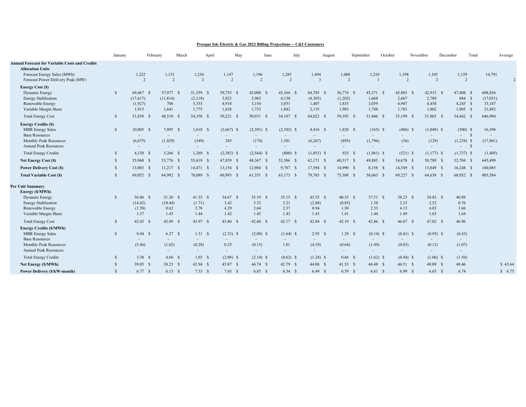#### **Presque Isle Electric & Gas 2022 Billing Projections -- C&I Customers**

|                                                                                                                                                      | January       | February                                  | March                                     | April                                  | May                                                                         | June                                   | July                                 | August                                    |                                         | September                                 | October                                   | November                                  | December<br>Total                                                  | Average                                 |
|------------------------------------------------------------------------------------------------------------------------------------------------------|---------------|-------------------------------------------|-------------------------------------------|----------------------------------------|-----------------------------------------------------------------------------|----------------------------------------|--------------------------------------|-------------------------------------------|-----------------------------------------|-------------------------------------------|-------------------------------------------|-------------------------------------------|--------------------------------------------------------------------|-----------------------------------------|
| <b>Annual Forecast for Variable Costs and Credits</b><br><b>Allocation Units</b><br>Forecast Energy Sales (MWh)<br>Forecast Power Delivery Peak (MW) |               | 1,222<br>$\overline{2}$                   | 1,131<br>$\overline{2}$                   | 1,236<br>$\overline{2}$                | 1,147<br>$\overline{2}$                                                     | 1,196<br>$\overline{2}$                | 1,285<br>$\overline{2}$              | 1,494<br>$\overline{3}$                   | 1,408<br>$\overline{2}$                 | 1,210                                     | 1,198<br>2                                | 1,105<br>2                                | 1,159<br>2                                                         | 14,791<br>$\overline{2}$                |
| <b>Energy Cost (\$)</b><br>Dynamic Energy<br><b>Energy Stablization</b><br>Renewable Energy<br>Variable Margin Share                                 | $\mathbf{s}$  | 69,467 \$<br>(17,617)<br>(1,927)<br>1,915 | 57,977 \$<br>(11, 814)<br>706<br>1,641    | 51,359 \$<br>(2,118)<br>3,335<br>1,775 | 39,753 \$<br>3,923<br>4,918<br>1,628                                        | $42,080$ \$<br>3,965<br>3,154<br>1,733 | 45,164 \$<br>4,130<br>3,051<br>1,842 | 64,785 \$<br>(4,305)<br>1,407<br>2,135    | 56,774 \$<br>(1,202)<br>1,835<br>1,985  | 45,371 \$<br>1,668<br>3,059<br>1,748      | 45,803 \$<br>2,667<br>4,947<br>1,783      | 42,915 \$<br>2,789<br>4,458<br>1,802      | 47,408 \$<br>884 \$<br>$4,245$ \$<br>$1,905$ \$                    | 608,856<br>(17,031)<br>33,187<br>21,892 |
| <b>Total Energy Cost</b>                                                                                                                             | $\mathcal{S}$ | 51,838 \$                                 | 48,510 \$                                 | 54,350 \$                              | $50,221$ \$                                                                 | 50,931 \$                              | 54,187 \$                            | 64,022 \$                                 | 59,392 \$                               | 51,846 \$                                 | 55,199 \$                                 | 51,965 \$                                 | 54,442 \$                                                          | 646,904                                 |
| <b>Energy Credits (\$)</b><br><b>MBR</b> Energy Sales<br><b>Base Resources</b><br><b>Monthly Peak Resources</b><br><b>Annual Peak Resources</b>      | $\mathbf{s}$  | $10,805$ \$<br>(6,675)                    | $7,095$ \$<br>$\sim$<br>(1,829)<br>$\sim$ | $1,618$ \$<br>(349)<br>$\sim$          | $(2,667)$ \$<br>$\overline{\phantom{a}}$<br>285<br>$\overline{\phantom{a}}$ | $(2,391)$ \$<br>(174)<br>$\sim$        | $(2,102)$ \$<br>1,301                | $4,416$ \$<br>$\sim$<br>(6,267)<br>$\sim$ | $1,820$ \$<br>$\sim$<br>(895)<br>$\sim$ | $(165)$ \$<br>(1,796)                     | $(486)$ \$<br>(36)                        | $(1,048)$ \$<br>$\sim$<br>(129)<br>$\sim$ | $(500)$ \$<br>$-$ \$<br>$(1,238)$ \$<br>$\mathbf{s}$<br>$\sim 100$ | 16,396<br>$\sim$<br>(17, 801)<br>$\sim$ |
| <b>Total Energy Credits</b>                                                                                                                          | <sup>\$</sup> | $4,130$ \$                                | $5,266$ \$                                | $1,269$ \$                             | $(2,382)$ \$                                                                | $(2,564)$ \$                           | $(800)$ \$                           | $(1,851)$ \$                              | 925 \$                                  | $(1,961)$ \$                              | $(521)$ \$                                | $(1,177)$ \$                              | $(1,737)$ \$                                                       | (1,405)                                 |
| Net Energy Cost (\$)                                                                                                                                 | $\mathcal{S}$ | 55,968 \$                                 | 53,776 \$                                 | 55,619 \$                              | 47,839 \$                                                                   | 48,367 \$                              | 53,386 \$                            | 62,171 \$                                 | 60,317 \$                               | 49,885 \$                                 | 54,678 \$                                 | 50,789 \$                                 | 52,704 \$                                                          | 645,499                                 |
| <b>Power Delivery Cost (\$)</b>                                                                                                                      | $\mathcal{S}$ | $13,083$ \$                               | $11,217$ \$                               | 14,471 \$                              | $13,154$ \$                                                                 | 12,984 \$                              | 9,787 \$                             | 17,594 \$                                 | 14,990 \$                               | 8,158 \$                                  | 14,549 \$                                 | 13,849 \$                                 | $16,248$ \$                                                        | 160,085                                 |
| <b>Total Variable Cost (\$)</b>                                                                                                                      | $\mathcal{S}$ | 69,052 \$                                 | 64,992 \$                                 | 70,089<br>-S                           | $60,993$ \$                                                                 | 61,351 \$                              | 63,173 \$                            | 79,765 \$                                 | 75,308 \$                               | 58,043<br>- S                             | 69,227 \$                                 | 64,638 \$                                 | 68,952 \$                                                          | 805,584                                 |
| <b>Per Unit Summary</b><br>Energy (\$/MWh)<br>Dynamic Energy<br><b>Energy Stablization</b><br>Renewable Energy<br>Variable Margin Share              | $\mathbb{S}$  | 56.86 \$<br>(14.42)<br>(1.58)<br>1.57     | 51.26 \$<br>(10.44)<br>0.62<br>1.45       | 41.55 \$<br>(1.71)<br>2.70<br>1.44     | 34.67 \$<br>3.42<br>4.29<br>1.42                                            | $35.19$ \$<br>3.32<br>2.64<br>1.45     | $35.15$ \$<br>3.21<br>2.37<br>1.43   | $43.35$ \$<br>(2.88)<br>0.94<br>1.43      | $40.33$ \$<br>(0.85)<br>1.30<br>1.41    | 37.51 S<br>1.38<br>2.53<br>1.44           | 38.23 \$<br>2.23<br>4.13<br>1.49          | 38.83 \$<br>2.52<br>4.03<br>1.63          | 40.89<br>0.76<br>3.66<br>1.64                                      |                                         |
| <b>Total Energy Cost</b>                                                                                                                             | $\mathbf S$   | $42.43$ \$                                | 42.89 \$                                  | 43.97 \$                               | 43.80 \$                                                                    | 42.60 \$                               | 42.17 S                              | 42.84 \$                                  | 42.19 \$                                | 42.86 \$                                  | $46.07$ \$                                | 47.02 S                                   | 46.96                                                              |                                         |
| <b>Energy Credits (\$/MWh)</b><br><b>MBR</b> Energy Sales<br><b>Base Resources</b><br><b>Monthly Peak Resources</b><br><b>Annual Peak Resources</b>  | $\mathbf{s}$  | 8.84 \$<br>(5.46)                         | 6.27 S<br>$\sim$<br>(1.62)<br>$\sim$      | 1.31S<br>$\sim$<br>(0.28)<br>$\sim$    | $(2.33)$ \$<br>$\sim$<br>0.25<br>$\sim$                                     | $(2.00)$ \$<br>(0.15)<br>$\sim$        | $(1.64)$ \$<br>1.01<br>$\sim$        | 2.95 S<br>$\sim$<br>(4.19)<br>$\sim$      | $1.29$ \$<br>۰.<br>(0.64)<br>$\sim$     | $(0.14)$ \$<br>$\sim$<br>(1.49)<br>$\sim$ | $(0.41)$ \$<br>$\sim$<br>(0.03)<br>$\sim$ | $(0.95)$ \$<br>(0.12)<br>$\sim$           | (0.43)<br>(1.07)<br>$\sim$                                         |                                         |
| <b>Total Energy Credits</b>                                                                                                                          | $\mathcal{S}$ | 3.38 S                                    | 4.66 S                                    | 1.03S                                  | $(2.08)$ \$                                                                 | $(2.14)$ \$                            | $(0.62)$ \$                          | $(1.24)$ \$                               | $0.66-$                                 | $(1.62)$ \$                               | $(0.44)$ \$                               | $(1.06)$ \$                               | (1.50)                                                             |                                         |
| Net Energy (\$/MWh)                                                                                                                                  | $\mathcal{S}$ | $39.05$ \$                                | 38.23 \$                                  | $42.94$ \$                             | 45.87 \$                                                                    | 44.74 \$                               | 42.79 \$                             | 44.08 S                                   | $41.53$ \$                              | 44.48 \$                                  | 46.51 S                                   | 48.09 \$                                  | 48.46                                                              | \$43.64                                 |
| Power Delivery (\$/kW-month)                                                                                                                         | $\mathcal{S}$ | 6.77S                                     | $6.15$ \$                                 | 7.33 S                                 | 7.45 S                                                                      | 6.85S                                  | $6.34$ \$                            | 6.49 S                                    | $6.59$ \$                               | $6.61 \quad$                              | 6.99S                                     | 6.65 S                                    | 6.74                                                               | \$6.75                                  |